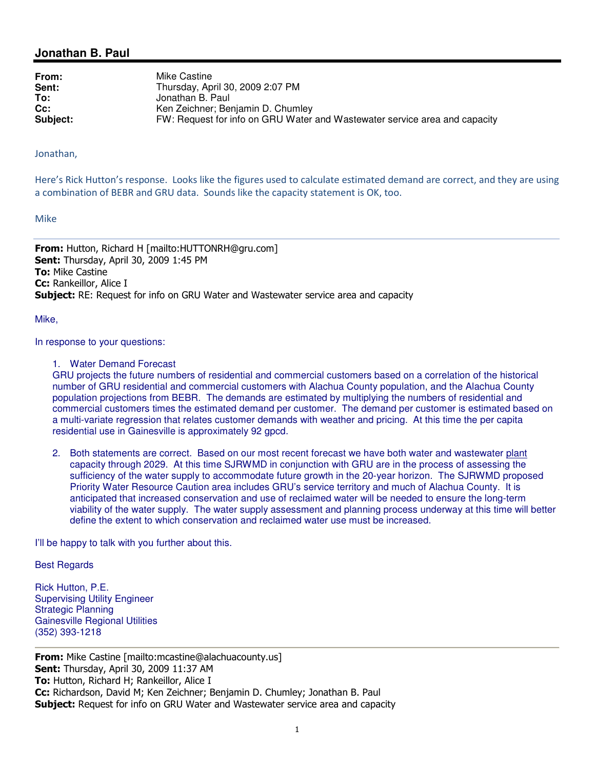# **Jonathan B. Paul**

**From:** Mike Castine **Sent:** Thursday, April 30, 2009 2:07 PM<br> **To:** Jonathan B. Paul **To:** Jonathan B. Paul<br>**Cc:** Ken Zeichner: Be **Cc:** Cc: Ken Zeichner; Benjamin D. Chumley<br>
Subiect: FW: Request for info on GRU Water **Subject:** FW: Request for info on GRU Water and Wastewater service area and capacity

#### Jonathan,

Here's Rick Hutton's response. Looks like the figures used to calculate estimated demand are correct, and they are using a combination of BEBR and GRU data. Sounds like the capacity statement is OK, too.

#### Mike

From: Hutton, Richard H [mailto:HUTTONRH@gru.com] Sent: Thursday, April 30, 2009 1:45 PM **To: Mike Castine** Cc: Rankeillor, Alice I **Subject:** RE: Request for info on GRU Water and Wastewater service area and capacity

#### Mike,

In response to your questions:

#### 1. Water Demand Forecast

GRU projects the future numbers of residential and commercial customers based on a correlation of the historical number of GRU residential and commercial customers with Alachua County population, and the Alachua County population projections from BEBR. The demands are estimated by multiplying the numbers of residential and commercial customers times the estimated demand per customer. The demand per customer is estimated based on a multi-variate regression that relates customer demands with weather and pricing. At this time the per capita residential use in Gainesville is approximately 92 gpcd.

2. Both statements are correct. Based on our most recent forecast we have both water and wastewater plant capacity through 2029. At this time SJRWMD in conjunction with GRU are in the process of assessing the sufficiency of the water supply to accommodate future growth in the 20-year horizon. The SJRWMD proposed Priority Water Resource Caution area includes GRU's service territory and much of Alachua County. It is anticipated that increased conservation and use of reclaimed water will be needed to ensure the long-term viability of the water supply. The water supply assessment and planning process underway at this time will better define the extent to which conservation and reclaimed water use must be increased.

I'll be happy to talk with you further about this.

### Best Regards

Rick Hutton, P.E. Supervising Utility Engineer Strategic Planning Gainesville Regional Utilities (352) 393-1218

From: Mike Castine [mailto:mcastine@alachuacounty.us] Sent: Thursday, April 30, 2009 11:37 AM To: Hutton, Richard H; Rankeillor, Alice I Cc: Richardson, David M; Ken Zeichner; Benjamin D. Chumley; Jonathan B. Paul Subject: Request for info on GRU Water and Wastewater service area and capacity